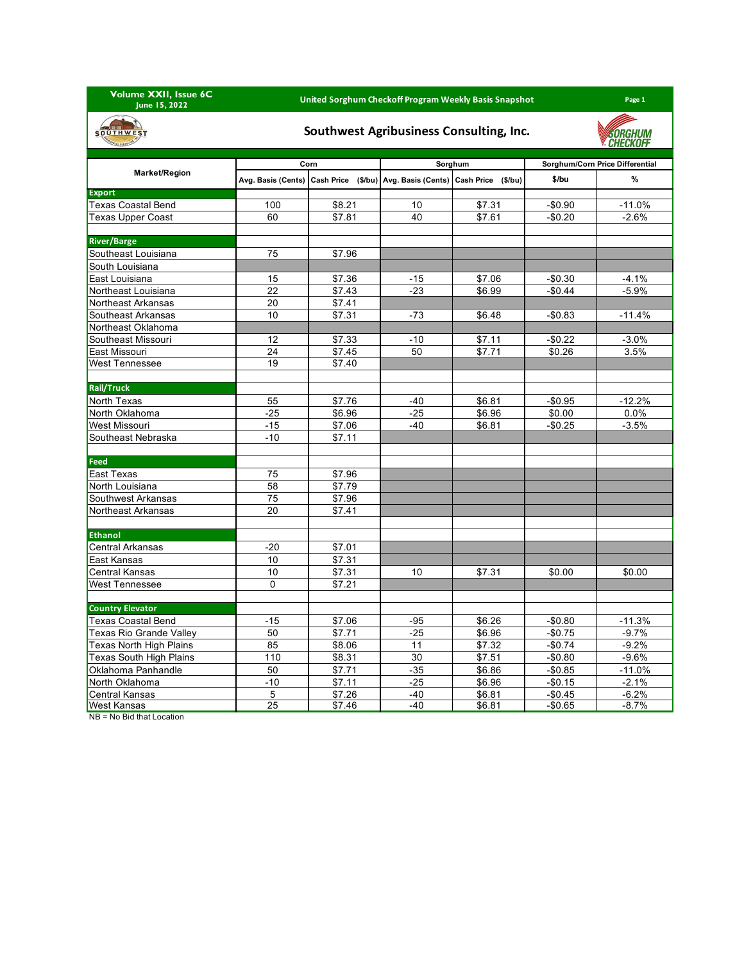**Volume XXII, Issue 6C June 15, 2022**

## **United Sorghum Checkoff Program Weekly Basis Snapshot Page 1**

**SORGHUM** 

## **SOUTHWEST**

## **Southwest Agribusiness Consulting, Inc.**

| <b>STATES CONSOLUTION</b><br><b><i>V. CHECKUFF</i></b> |       |                    |                                                                             |         |                                 |          |  |  |
|--------------------------------------------------------|-------|--------------------|-----------------------------------------------------------------------------|---------|---------------------------------|----------|--|--|
|                                                        |       | Corn               |                                                                             | Sorghum | Sorghum/Corn Price Differential |          |  |  |
| <b>Market/Region</b>                                   |       |                    | Avg. Basis (Cents) Cash Price (\$/bu) Avg. Basis (Cents) Cash Price (\$/bu) |         | \$/bu                           | $\%$     |  |  |
| Export                                                 |       |                    |                                                                             |         |                                 |          |  |  |
| <b>Texas Coastal Bend</b>                              | 100   | $\overline{$8.21}$ | 10                                                                          | \$7.31  | $-$0.90$                        | $-11.0%$ |  |  |
| <b>Texas Upper Coast</b>                               | 60    | \$7.81             | 40                                                                          | \$7.61  | $-$0.20$                        | $-2.6%$  |  |  |
|                                                        |       |                    |                                                                             |         |                                 |          |  |  |
| <b>River/Barge</b>                                     |       |                    |                                                                             |         |                                 |          |  |  |
| Southeast Louisiana                                    | 75    | \$7.96             |                                                                             |         |                                 |          |  |  |
| South Louisiana                                        |       |                    |                                                                             |         |                                 |          |  |  |
| East Louisiana                                         | 15    | \$7.36             | $-15$                                                                       | \$7.06  | $-$0.30$                        | $-4.1%$  |  |  |
| Northeast Louisiana                                    | 22    | \$7.43             | $-23$                                                                       | \$6.99  | $-$0.44$                        | $-5.9%$  |  |  |
| Northeast Arkansas                                     | 20    | \$7.41             |                                                                             |         |                                 |          |  |  |
| Southeast Arkansas                                     | 10    | \$7.31             | $-73$                                                                       | \$6.48  | $-$0.83$                        | $-11.4%$ |  |  |
| Northeast Oklahoma                                     |       |                    |                                                                             |         |                                 |          |  |  |
| Southeast Missouri                                     | 12    | \$7.33             | $-10$                                                                       | \$7.11  | $-$0.22$                        | $-3.0%$  |  |  |
| East Missouri                                          | 24    | \$7.45             | 50                                                                          | \$7.71  | \$0.26                          | 3.5%     |  |  |
| <b>West Tennessee</b>                                  | 19    | \$7.40             |                                                                             |         |                                 |          |  |  |
|                                                        |       |                    |                                                                             |         |                                 |          |  |  |
| <b>Rail/Truck</b>                                      |       |                    |                                                                             |         |                                 |          |  |  |
| North Texas                                            | 55    | \$7.76             | -40                                                                         | \$6.81  | $-$0.95$                        | $-12.2%$ |  |  |
| North Oklahoma                                         | $-25$ | \$6.96             | $-25$                                                                       | \$6.96  | \$0.00                          | 0.0%     |  |  |
| West Missouri                                          | $-15$ | \$7.06             | $-40$                                                                       | \$6.81  | $-$0.25$                        | $-3.5%$  |  |  |
| Southeast Nebraska                                     | $-10$ | \$7.11             |                                                                             |         |                                 |          |  |  |
|                                                        |       |                    |                                                                             |         |                                 |          |  |  |
| Feed                                                   |       |                    |                                                                             |         |                                 |          |  |  |
| East Texas                                             | 75    | \$7.96             |                                                                             |         |                                 |          |  |  |
| North Louisiana                                        | 58    | \$7.79             |                                                                             |         |                                 |          |  |  |
| Southwest Arkansas                                     | 75    | \$7.96             |                                                                             |         |                                 |          |  |  |
| Northeast Arkansas                                     | 20    | \$7.41             |                                                                             |         |                                 |          |  |  |
|                                                        |       |                    |                                                                             |         |                                 |          |  |  |
| <b>Ethanol</b>                                         |       |                    |                                                                             |         |                                 |          |  |  |
| <b>Central Arkansas</b>                                | $-20$ | \$7.01             |                                                                             |         |                                 |          |  |  |
| East Kansas                                            | 10    | \$7.31             |                                                                             |         |                                 |          |  |  |
| Central Kansas                                         | 10    | \$7.31             | 10                                                                          | \$7.31  | \$0.00                          | \$0.00   |  |  |
| <b>West Tennessee</b>                                  | 0     | \$7.21             |                                                                             |         |                                 |          |  |  |
|                                                        |       |                    |                                                                             |         |                                 |          |  |  |
| <b>Country Elevator</b>                                |       |                    |                                                                             |         |                                 |          |  |  |
| <b>Texas Coastal Bend</b>                              | $-15$ | \$7.06             | $-95$                                                                       | \$6.26  | $-$0.80$                        | $-11.3%$ |  |  |
| Texas Rio Grande Valley                                | 50    | \$7.71             | -25                                                                         | \$6.96  | $-$0.75$                        | $-9.7\%$ |  |  |
| Texas North High Plains                                | 85    | \$8.06             | 11                                                                          | \$7.32  | $-$0.74$                        | $-9.2%$  |  |  |
| <b>Texas South High Plains</b>                         | 110   | \$8.31             | 30                                                                          | \$7.51  | $-$0.80$                        | $-9.6%$  |  |  |
| Oklahoma Panhandle                                     | 50    | \$7.71             | $-35$                                                                       | \$6.86  | $-$0.85$                        | $-11.0%$ |  |  |

North Oklahoma -10 -10 \$7.11 -25 \$6.96 -\$0.15 -2.1%

Central Kansas 5 \$7.26 -40 \$6.81 -\$0.45 -6.2% **West Kansas** NB = No Bid that Location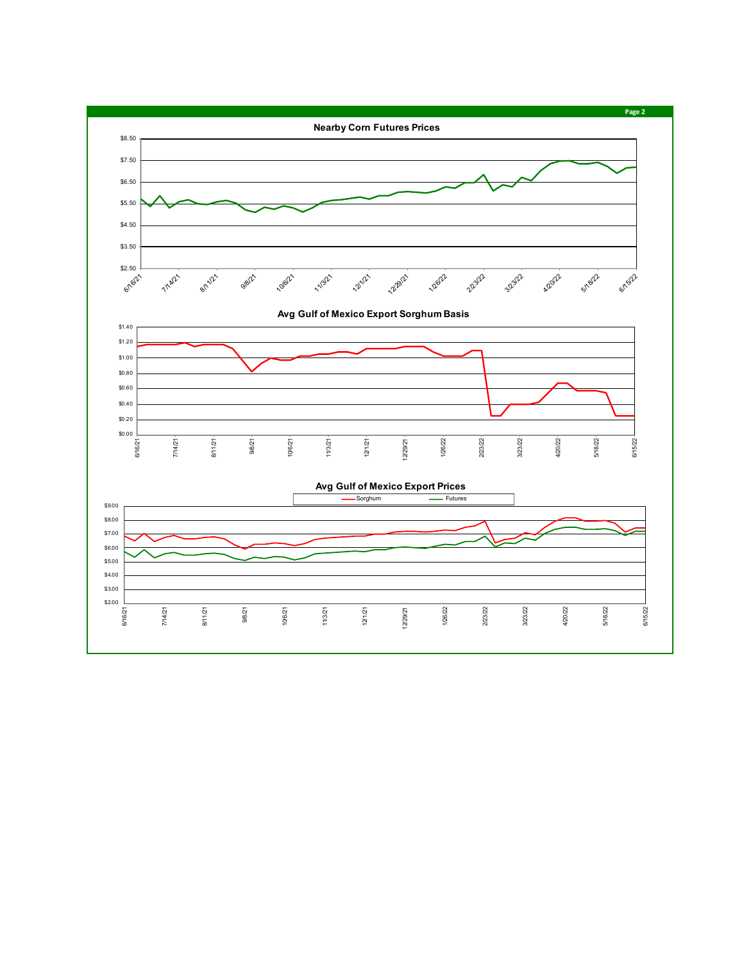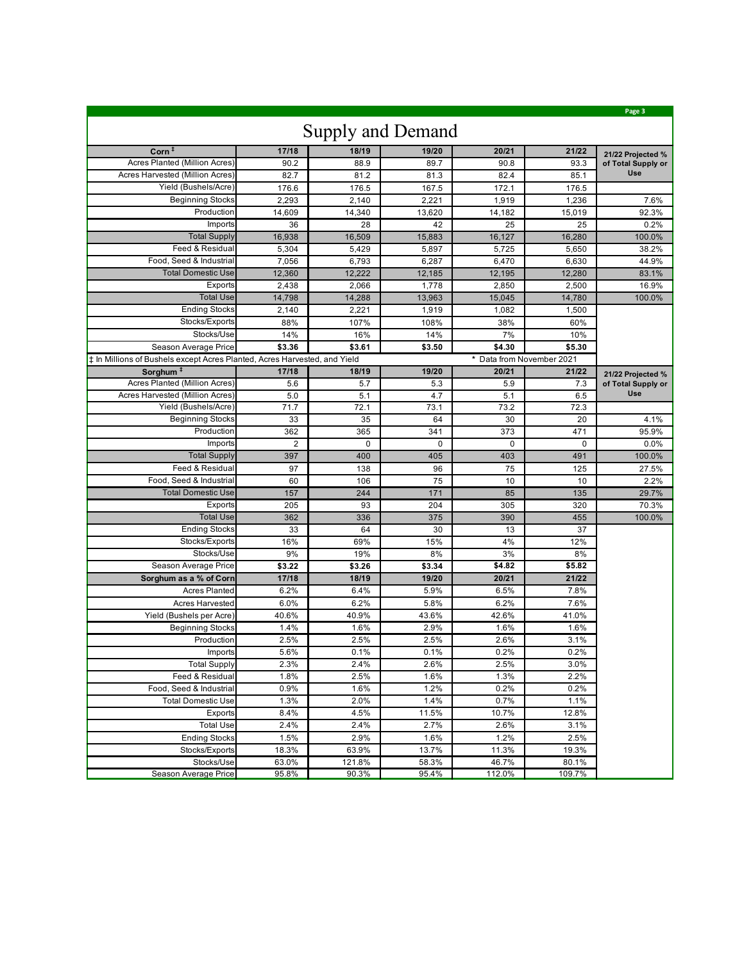|                                                                           |                |          |          |          |                           | Page 3             |  |  |  |  |
|---------------------------------------------------------------------------|----------------|----------|----------|----------|---------------------------|--------------------|--|--|--|--|
| <b>Supply and Demand</b>                                                  |                |          |          |          |                           |                    |  |  |  |  |
| $Corn^{\ddagger}$                                                         | 17/18          | 18/19    | 19/20    | 20/21    | 21/22                     | 21/22 Projected %  |  |  |  |  |
| Acres Planted (Million Acres)                                             | 90.2           | 88.9     | 89.7     | 90.8     | 93.3                      | of Total Supply or |  |  |  |  |
| Acres Harvested (Million Acres)                                           | 82.7           | 81.2     | 81.3     | 82.4     | 85.1                      | Use                |  |  |  |  |
| Yield (Bushels/Acre)                                                      | 176.6          | 176.5    | 167.5    | 172.1    | 176.5                     |                    |  |  |  |  |
| <b>Beginning Stocks</b>                                                   | 2,293          | 2,140    | 2,221    | 1,919    | 1,236                     | 7.6%               |  |  |  |  |
| Production                                                                | 14,609         | 14,340   | 13,620   | 14,182   | 15,019                    | 92.3%              |  |  |  |  |
| Imports                                                                   | 36             | 28       | 42       | 25       | 25                        | 0.2%               |  |  |  |  |
| <b>Total Supply</b>                                                       | 16,938         | 16,509   | 15,883   | 16,127   | 16,280                    | 100.0%             |  |  |  |  |
| Feed & Residual                                                           | 5,304          | 5,429    | 5,897    | 5,725    | 5,650                     | 38.2%              |  |  |  |  |
| Food, Seed & Industrial                                                   | 7,056          | 6,793    | 6,287    | 6,470    | 6,630                     | 44.9%              |  |  |  |  |
| <b>Total Domestic Use</b>                                                 | 12,360         | 12,222   | 12,185   | 12,195   | 12,280                    | 83.1%              |  |  |  |  |
| Exports                                                                   | 2,438          | 2,066    | 1,778    | 2,850    | 2,500                     | 16.9%              |  |  |  |  |
| <b>Total Use</b>                                                          | 14,798         | 14,288   | 13,963   | 15,045   | 14,780                    | 100.0%             |  |  |  |  |
| <b>Ending Stocks</b>                                                      | 2,140          | 2,221    | 1,919    | 1,082    | 1,500                     |                    |  |  |  |  |
| Stocks/Exports                                                            | 88%            | 107%     | 108%     | 38%      | 60%                       |                    |  |  |  |  |
| Stocks/Use                                                                | 14%            | 16%      | 14%      | 7%       | 10%                       |                    |  |  |  |  |
| Season Average Price                                                      | \$3.36         | \$3.61   | \$3.50   | \$4.30   | \$5.30                    |                    |  |  |  |  |
| # In Millions of Bushels except Acres Planted, Acres Harvested, and Yield |                |          |          |          | * Data from November 2021 |                    |  |  |  |  |
| Sorghum <sup>#</sup>                                                      | 17/18          | 18/19    | 19/20    | 20/21    | 21/22                     | 21/22 Projected %  |  |  |  |  |
| Acres Planted (Million Acres)                                             | 5.6            | 5.7      | 5.3      | 5.9      | 7.3                       | of Total Supply or |  |  |  |  |
| Acres Harvested (Million Acres)                                           | 5.0            | 5.1      | 4.7      | 5.1      | 6.5                       | Use                |  |  |  |  |
| Yield (Bushels/Acre)                                                      | 71.7           | 72.1     | 73.1     | 73.2     | 72.3                      |                    |  |  |  |  |
| <b>Beginning Stocks</b>                                                   | 33             | 35       | 64       | 30       | 20                        | 4.1%               |  |  |  |  |
| Production                                                                | 362            | 365      | 341      | 373      | 471                       | 95.9%              |  |  |  |  |
| Imports                                                                   | $\overline{2}$ | $\Omega$ | $\Omega$ | $\Omega$ | $\Omega$                  | 0.0%               |  |  |  |  |
| <b>Total Supply</b>                                                       | 397            | 400      | 405      | 403      | 491                       | 100.0%             |  |  |  |  |
| Feed & Residual                                                           | 97             | 138      | 96       | 75       | 125                       | 27.5%              |  |  |  |  |
| Food, Seed & Industrial                                                   | 60             | 106      | 75       | 10       | 10                        | 2.2%               |  |  |  |  |
| <b>Total Domestic Use</b>                                                 | 157            | 244      | 171      | 85       | 135                       | 29.7%              |  |  |  |  |
| Exports                                                                   | 205            | 93       | 204      | 305      | 320                       | 70.3%              |  |  |  |  |
| <b>Total Use</b>                                                          | 362            | 336      | 375      | 390      | 455                       | 100.0%             |  |  |  |  |
| <b>Ending Stocks</b>                                                      | 33             | 64       | 30       | 13       | 37                        |                    |  |  |  |  |
| Stocks/Exports                                                            | 16%            | 69%      | 15%      | 4%       | 12%                       |                    |  |  |  |  |
| Stocks/Use                                                                | 9%             | 19%      | 8%       | 3%       | 8%                        |                    |  |  |  |  |
| Season Average Price                                                      | \$3.22         | \$3.26   | \$3.34   | \$4.82   | \$5.82                    |                    |  |  |  |  |
| Sorghum as a % of Corn                                                    | 17/18          | 18/19    | 19/20    | 20/21    | 21/22                     |                    |  |  |  |  |
| <b>Acres Planted</b>                                                      | 6.2%           | 6.4%     | 5.9%     | 6.5%     | 7.8%                      |                    |  |  |  |  |
| <b>Acres Harvested</b>                                                    | 6.0%           | 6.2%     | 5.8%     | 6.2%     | 7.6%                      |                    |  |  |  |  |
| Yield (Bushels per Acre)                                                  | 40.6%          | 40.9%    | 43.6%    | 42.6%    | 41.0%                     |                    |  |  |  |  |
| <b>Beginning Stocks</b>                                                   | 1.4%           | 1.6%     | 2.9%     | 1.6%     | 1.6%                      |                    |  |  |  |  |
| Production                                                                | 2.5%           | 2.5%     | 2.5%     | 2.6%     | 3.1%                      |                    |  |  |  |  |
| Imports                                                                   | 5.6%           | 0.1%     | 0.1%     | 0.2%     | 0.2%                      |                    |  |  |  |  |
| <b>Total Supply</b>                                                       | 2.3%           | 2.4%     | 2.6%     | 2.5%     | 3.0%                      |                    |  |  |  |  |
| Feed & Residual                                                           | 1.8%           | 2.5%     | 1.6%     | 1.3%     | 2.2%                      |                    |  |  |  |  |
| Food, Seed & Industrial                                                   | 0.9%           | 1.6%     | 1.2%     | 0.2%     | 0.2%                      |                    |  |  |  |  |
| <b>Total Domestic Use</b>                                                 | 1.3%           | 2.0%     | 1.4%     | 0.7%     | 1.1%                      |                    |  |  |  |  |
| Exports                                                                   | 8.4%           | 4.5%     | 11.5%    | 10.7%    | 12.8%                     |                    |  |  |  |  |
| <b>Total Use</b>                                                          | 2.4%           | 2.4%     | 2.7%     | 2.6%     | 3.1%                      |                    |  |  |  |  |
| <b>Ending Stocks</b>                                                      | 1.5%           | 2.9%     | 1.6%     | 1.2%     | 2.5%                      |                    |  |  |  |  |
| Stocks/Exports                                                            | 18.3%          | 63.9%    | 13.7%    | 11.3%    | 19.3%                     |                    |  |  |  |  |
| Stocks/Use                                                                | 63.0%          | 121.8%   | 58.3%    | 46.7%    | 80.1%                     |                    |  |  |  |  |
| Season Average Price                                                      | 95.8%          | 90.3%    | 95.4%    | 112.0%   | 109.7%                    |                    |  |  |  |  |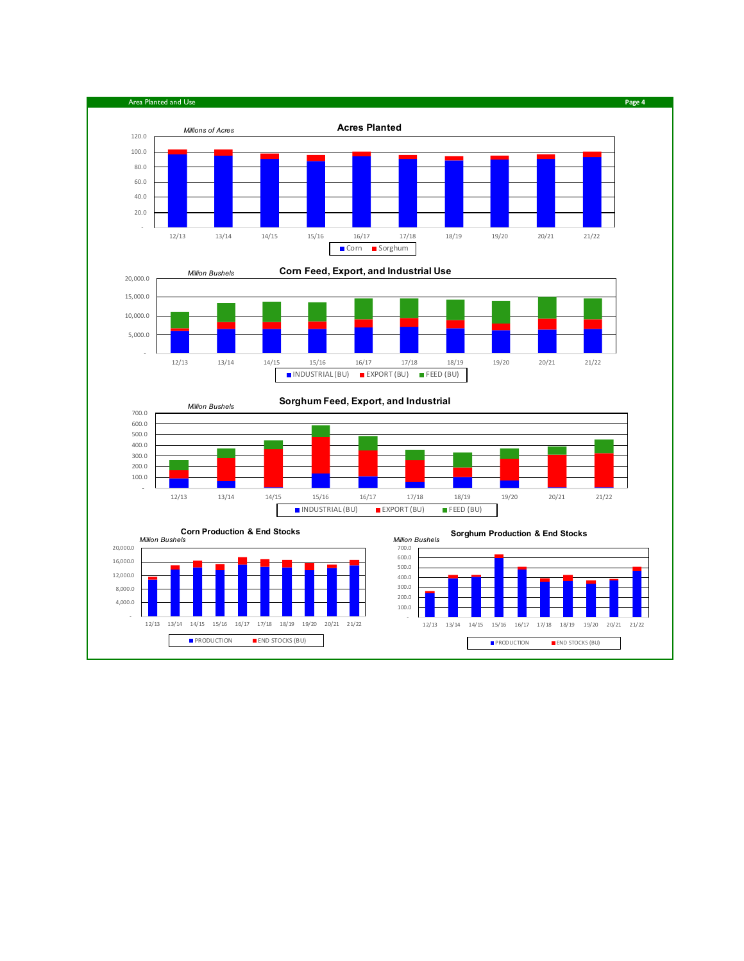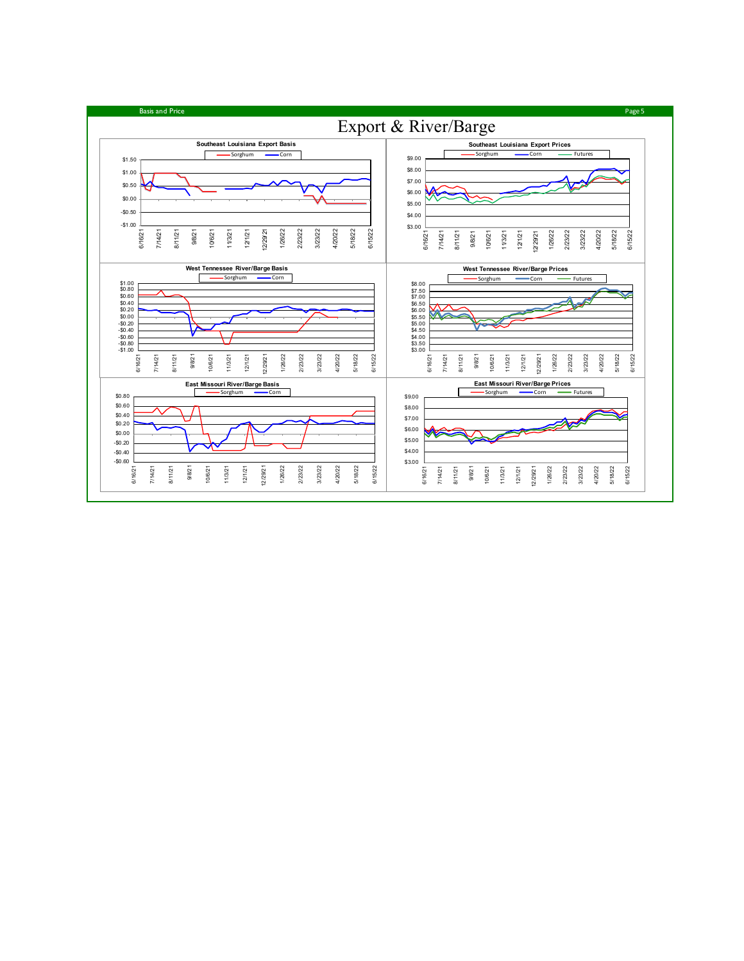